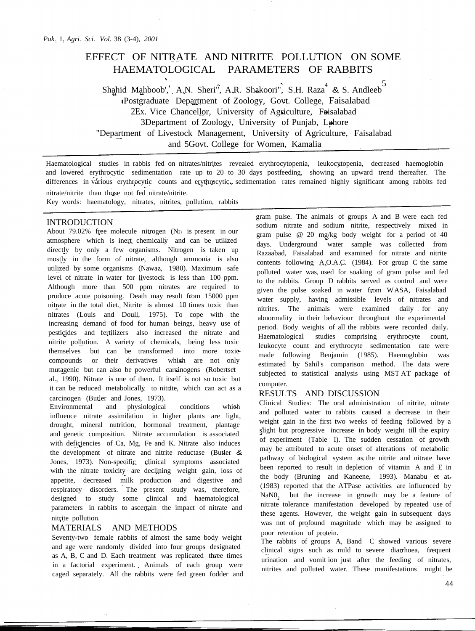# EFFECT OF NITRATE AND NITRITE POLLUTION ON SOME HAEMATOLOGICAL PARAMETERS OF RABBITS

Shahid Mahboob', A.N. Sheri<sup>n</sup>, A.R. Shakoori", S.H. Raza<sup>4</sup> & S. Andleeb<sup>5</sup> IPostgraduate Department of Zoology, Govt. College, Faisalabad 2Ex. Vice Chancellor, University of Agriculture, Faisalabad 3Department of Zoology, University of Punjab, Lahore "Department of Livestock Management, University of Agriculture, Faisalabad and 5Govt. College for Women, Kamalia

Haematological studies in rabbis fed on nitrates/nitrites revealed erythrocytopenia, leukocytopenia, decreased haemoglobin and lowered erythrocytic sedimentation rate up to 20 to 30 days postfeeding, showing an upward trend thereafter. The differences in various erythrocytic counts and erythrocytic sedimentation rates remained highly significant among rabbits fed nitrate/nitrite than those not fed nitrate/nitrite.

Key words: haematology, nitrates, nitrites, pollution, rabbits

## INTRODUCTION

About 79.02% free molecule nitrogen  $(N_2)$  is present in our atmosphere which is inert chemically and can be utilized directly by only a few organisms. Nitrogen is taken up mostly in the form of nitrate, although ammonia is also utilized by some organisms (Nawaz, 1980). Maximum safe level of nitrate in water for livestock is less than 100 ppm. Although more than 500 ppm nitrates are required to produce acute poisoning. Death may result from 15000 ppm nitrate in the total diet. Nitrite is almost 10 times toxic than nitrates (Louis and Doull, 1975). To cope with the increasing demand of food for human beings, heavy use of pesticides and fertilizers also increased the nitrate and nitrite pollution. A variety of chemicals, being less toxic themselves but can be transformed into more toxic compounds or their derivatives which are not only mutagenic but can also be powerful carcinogens (Robertset al., 1990). Nitrate is one of them. It itself is not so toxic but it can be reduced metabolically to nitrite, which can act as a carcinogen (Butler and Jones, 1973).

Environmental and physiological conditions which influence nitrate assimilation in higher plants are light, drought, mineral nutrition, hormonal treatment, plantage and genetic composition. Nitrate accumulation is associated with deficiencies of Ca, Mg, Fe and K. Nitrate also induces the development of nitrate and nitrite reductase (Butler & Jones, 1973). Non-specific clinical symptoms associated with the nitrate toxicity are declining weight gain, loss of appetite, decreased milk production and digestive and respiratory disorders. The present study was, therefore, designed to study some clinical and haematological parameters in rabbits to ascertain the impact of nitrate and nitrite pollution.

## MATERIALS AND METHODS

Seventy-two female rabbits of almost the same body weight and age were randomly divided into four groups designated as A, B, C and D. Each treatment was replicated three times in a factorial experiment. Animals of each group were caged separately. All the rabbits were fed green fodder and gram pulse. The animals of groups A and B were each fed sodium nitrate and sodium nitrite, respectively mixed in gram pulse @ 20 mg/kg body weight for a period of 40 days. Underground water sample was collected from Razaabad, Faisalabad and examined for nitrate and nitrite contents following A.O.A.C. (1984). For group C the same polluted water was used for soaking of gram pulse and fed to the rabbits. Group D rabbits served as control and were given the pulse soaked in water from WASA, Faisalabad water supply, having admissible levels of nitrates and nitrites. The animals were examined daily for any abnormality in their behaviour throughout the experimental period. Body weights of all the rabbits were recorded daily. Haematological studies comprising erythrocyte count, leukocyte count and erythrocyte sedimentation rate were made following Benjamin (1985). Haemoglobin was estimated by Sahil's comparison method. The data were subjected to statistical analysis using MST AT package of computer.

# RESULTS AND DISCUSSION

Clinical Studies: The oral administration of nitrite, nitrate and polluted water to rabbits caused a decrease in their weight gain in the first two weeks of feeding followed by a slight but progressive increase in body weight till the expiry of experiment (Table I). The sudden cessation of growth may be attributed to acute onset of alterations of metabolic pathway of biological system as the nitrite and nitrate have been reported to result in depletion of vitamin A and E in the body (Bruning and Kaneene, 1993). Manabu et at. (1983) reported that the ATPase activities are influenced by  $\text{Na} \text{NO}_2$ , but the increase in growth may be a feature of nitrate tolerance manifestation developed by repeated use of these agents. However, the weight gain in subsequent days was not of profound magnitude which may be assigned to poor retention of protein.

The rabbits of groups A, Band C showed various severe clinical signs such as mild to severe diarrhoea, frequent urination and vomit ion just after the feeding of nitrates, nitrites and polluted water. These manifestations might be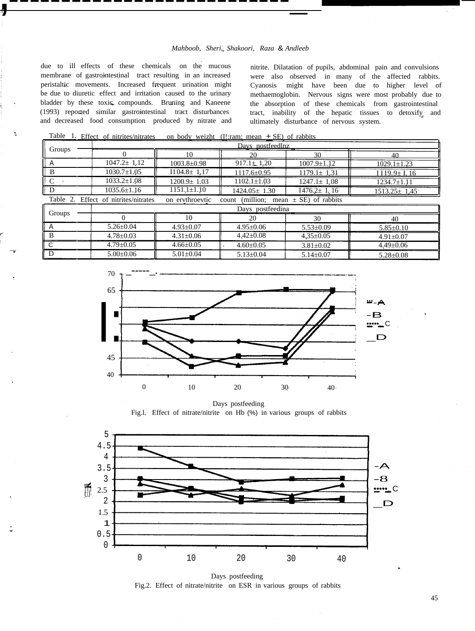# *Mahboob, Sheri, Shakoori, Raza* & *Andleeb*

due to ill effects of these chemicals on the mucous membrane of gastrointestinal tract resulting in an increased peristaltic movements. Increased frequent urination might be due to diuretic effect and irritation caused to the urinary bladder by these toxic compounds. Bruning and Kaneene (1993) reported similar gastrointestinal tract disturbances and decreased food consumption produced by nitrate and

.....

 $\bullet$ 

**,---------------------------\_** <sup>1</sup>

nitrite. Dilatation of pupils, abdominal pain and convulsions were also observed in many of the affected rabbits. Cyanosis might have been due to higher level of methaemoglobin. Nervous signs were most probably due to the absorption of these chemicals from gastrointestinal tract, inability of the hepatic tissues to detoxify and ultimately disturbance of nervous system.

**-**

Table 1. Effect of nitrites/nitrates on body weizht (I!:ram; mean + SE) of rabbits

|                                                                                                         | Days nostfeedlnz  |                   |                    |                     |                         |
|---------------------------------------------------------------------------------------------------------|-------------------|-------------------|--------------------|---------------------|-------------------------|
| Groups                                                                                                  |                   | 10                |                    | 30                  | 40                      |
|                                                                                                         | $1047.2 \pm 1.12$ | $1003.8 \pm 0.98$ | $917.1 \pm 1.20$   | $1007.9 \pm 1.12$   | $1029.1 \pm 1.23$       |
| B                                                                                                       | $1030.7 \pm 1.05$ | $I104.8 \pm 1.17$ | $1117.6 \pm 0.95$  | $1179.1 \pm 1.31$   | $I$ I $19.9 \pm I$ , 16 |
|                                                                                                         | $1033.2 \pm 1.08$ | $1200.9 \pm 1.03$ | $1102.1 \pm 1.03$  | $1247.1 \pm 1.08$   | $1234.7 \pm 1.11$       |
| D                                                                                                       | $1035.6 \pm 1.16$ | $1151,1 \pm 1.10$ | $1424.05 \pm 1.30$ | $I476.2 \pm I$ , 16 | $1513.25 \pm 1.45$      |
| Table 2. Effect of nitrites/nitrates<br>(million: mean $\pm$ SE) of rabbits<br>on erythroevtic<br>count |                   |                   |                    |                     |                         |
| Groups                                                                                                  | Days postfeedina  |                   |                    |                     |                         |
|                                                                                                         |                   | 10                | 20                 | $\cdot$ 30          | 40                      |
| $\overline{A}$                                                                                          | $5.26 \pm 0.04$   | $4.93 \pm 0.07$   | $4.95 \pm 0.06$    | $5.53 \pm 0.09$     | $5.85 \pm 0.10$         |
| <sup>B</sup>                                                                                            | $4.78 \pm 0.03$   | $4.31 \pm 0.06$   | $4.42 \pm 0.08$    | $4.35 \pm 0.05$     | $4.91 \pm 0.07$         |
| C.                                                                                                      | $4.79 \pm 0.05$   | $4.66 \pm 0.05$   | $4.60 \pm 0.05$    | $3.81 \pm 0.02$     | $4.49 \pm 0.06$         |
|                                                                                                         | $5.00 \pm 0.06$   | $5.01 \pm 0.04$   | $5.13 \pm 0.04$    | $5.14 \pm 0.07$     | $5.28 \pm 0.08$         |



Days postfeeding Fig.l. Effect of nitrate/nitrite on Hb (%) in various groups of rabbits